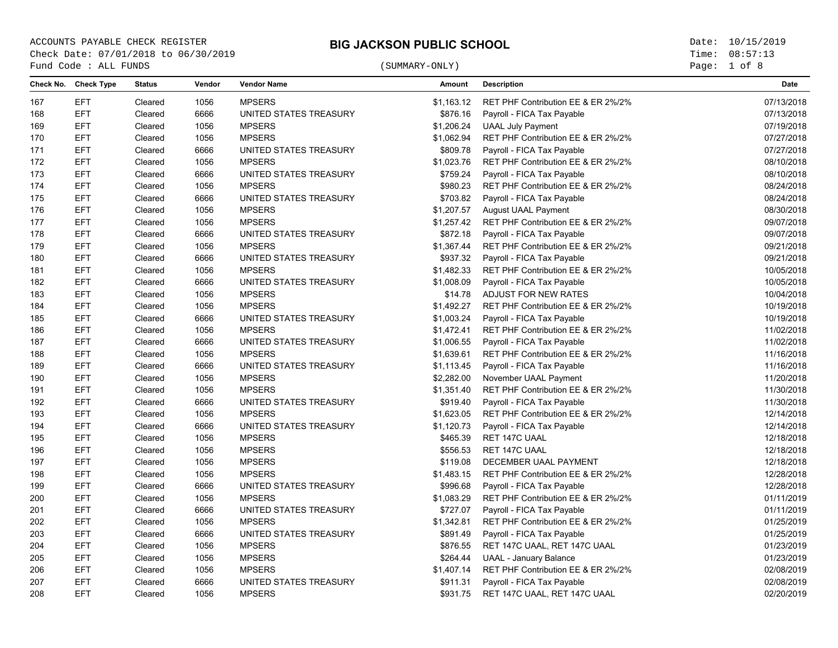**BIG JACKSON PUBLIC SCHOOL** ACCOUNTS PAYABLE CHECK REGISTER Date: 10/15/2019 Check Date: 07/01/2018 to 06/30/2019 **The Check Date: 07/01/2018** to 06/30/2019 The Concernity of the Concernity of the Concernity of the Concernity of the Concernity of the Concernity of the Concernity of the Concernity o Fund Code : ALL FUNDS

# (SUMMARY-ONLY)

Page: 1 of 8

| Check No. | <b>Check Type</b> | <b>Status</b> | Vendor | <b>Vendor Name</b>     | Amount     | <b>Description</b>                 | Date       |
|-----------|-------------------|---------------|--------|------------------------|------------|------------------------------------|------------|
| 167       | <b>EFT</b>        | Cleared       | 1056   | <b>MPSERS</b>          | \$1,163.12 | RET PHF Contribution EE & ER 2%/2% | 07/13/2018 |
| 168       | <b>EFT</b>        | Cleared       | 6666   | UNITED STATES TREASURY | \$876.16   | Payroll - FICA Tax Payable         | 07/13/2018 |
| 169       | <b>EFT</b>        | Cleared       | 1056   | <b>MPSERS</b>          | \$1,206.24 | <b>UAAL July Payment</b>           | 07/19/2018 |
| 170       | <b>EFT</b>        | Cleared       | 1056   | <b>MPSERS</b>          | \$1,062.94 | RET PHF Contribution EE & ER 2%/2% | 07/27/2018 |
| 171       | <b>EFT</b>        | Cleared       | 6666   | UNITED STATES TREASURY | \$809.78   | Payroll - FICA Tax Payable         | 07/27/2018 |
| 172       | <b>EFT</b>        | Cleared       | 1056   | <b>MPSERS</b>          | \$1,023.76 | RET PHF Contribution EE & ER 2%/2% | 08/10/2018 |
| 173       | <b>EFT</b>        | Cleared       | 6666   | UNITED STATES TREASURY | \$759.24   | Payroll - FICA Tax Payable         | 08/10/2018 |
| 174       | <b>EFT</b>        | Cleared       | 1056   | <b>MPSERS</b>          | \$980.23   | RET PHF Contribution EE & ER 2%/2% | 08/24/2018 |
| 175       | <b>EFT</b>        | Cleared       | 6666   | UNITED STATES TREASURY | \$703.82   | Payroll - FICA Tax Payable         | 08/24/2018 |
| 176       | <b>EFT</b>        | Cleared       | 1056   | <b>MPSERS</b>          | \$1,207.57 | August UAAL Payment                | 08/30/2018 |
| 177       | <b>EFT</b>        | Cleared       | 1056   | <b>MPSERS</b>          | \$1,257.42 | RET PHF Contribution EE & ER 2%/2% | 09/07/2018 |
| 178       | <b>EFT</b>        | Cleared       | 6666   | UNITED STATES TREASURY | \$872.18   | Payroll - FICA Tax Payable         | 09/07/2018 |
| 179       | <b>EFT</b>        | Cleared       | 1056   | <b>MPSERS</b>          | \$1,367.44 | RET PHF Contribution EE & ER 2%/2% | 09/21/2018 |
| 180       | <b>EFT</b>        | Cleared       | 6666   | UNITED STATES TREASURY | \$937.32   | Payroll - FICA Tax Payable         | 09/21/2018 |
| 181       | <b>EFT</b>        | Cleared       | 1056   | <b>MPSERS</b>          | \$1,482.33 | RET PHF Contribution EE & ER 2%/2% | 10/05/2018 |
| 182       | <b>EFT</b>        | Cleared       | 6666   | UNITED STATES TREASURY | \$1,008.09 | Payroll - FICA Tax Payable         | 10/05/2018 |
| 183       | <b>EFT</b>        | Cleared       | 1056   | <b>MPSERS</b>          | \$14.78    | ADJUST FOR NEW RATES               | 10/04/2018 |
| 184       | <b>EFT</b>        | Cleared       | 1056   | <b>MPSERS</b>          | \$1,492.27 | RET PHF Contribution EE & ER 2%/2% | 10/19/2018 |
| 185       | <b>EFT</b>        | Cleared       | 6666   | UNITED STATES TREASURY | \$1,003.24 | Payroll - FICA Tax Payable         | 10/19/2018 |
| 186       | <b>EFT</b>        | Cleared       | 1056   | <b>MPSERS</b>          | \$1,472.41 | RET PHF Contribution EE & ER 2%/2% | 11/02/2018 |
| 187       | <b>EFT</b>        | Cleared       | 6666   | UNITED STATES TREASURY | \$1,006.55 | Payroll - FICA Tax Payable         | 11/02/2018 |
| 188       | <b>EFT</b>        | Cleared       | 1056   | <b>MPSERS</b>          | \$1,639.61 | RET PHF Contribution EE & ER 2%/2% | 11/16/2018 |
| 189       | <b>EFT</b>        | Cleared       | 6666   | UNITED STATES TREASURY | \$1,113.45 | Payroll - FICA Tax Payable         | 11/16/2018 |
| 190       | <b>EFT</b>        | Cleared       | 1056   | <b>MPSERS</b>          | \$2,282.00 | November UAAL Payment              | 11/20/2018 |
| 191       | <b>EFT</b>        | Cleared       | 1056   | <b>MPSERS</b>          | \$1,351.40 | RET PHF Contribution EE & ER 2%/2% | 11/30/2018 |
| 192       | <b>EFT</b>        | Cleared       | 6666   | UNITED STATES TREASURY | \$919.40   | Payroll - FICA Tax Payable         | 11/30/2018 |
| 193       | <b>EFT</b>        | Cleared       | 1056   | <b>MPSERS</b>          | \$1,623.05 | RET PHF Contribution EE & ER 2%/2% | 12/14/2018 |
| 194       | <b>EFT</b>        | Cleared       | 6666   | UNITED STATES TREASURY | \$1,120.73 | Payroll - FICA Tax Payable         | 12/14/2018 |
| 195       | <b>EFT</b>        | Cleared       | 1056   | <b>MPSERS</b>          | \$465.39   | RET 147C UAAL                      | 12/18/2018 |
| 196       | <b>EFT</b>        | Cleared       | 1056   | <b>MPSERS</b>          | \$556.53   | RET 147C UAAL                      | 12/18/2018 |
| 197       | <b>EFT</b>        | Cleared       | 1056   | <b>MPSERS</b>          | \$119.08   | DECEMBER UAAL PAYMENT              | 12/18/2018 |
| 198       | <b>EFT</b>        | Cleared       | 1056   | <b>MPSERS</b>          | \$1,483.15 | RET PHF Contribution EE & ER 2%/2% | 12/28/2018 |
| 199       | <b>EFT</b>        | Cleared       | 6666   | UNITED STATES TREASURY | \$996.68   | Payroll - FICA Tax Payable         | 12/28/2018 |
| 200       | <b>EFT</b>        | Cleared       | 1056   | <b>MPSERS</b>          | \$1,083.29 | RET PHF Contribution EE & ER 2%/2% | 01/11/2019 |
| 201       | <b>EFT</b>        | Cleared       | 6666   | UNITED STATES TREASURY | \$727.07   | Payroll - FICA Tax Payable         | 01/11/2019 |
| 202       | <b>EFT</b>        | Cleared       | 1056   | <b>MPSERS</b>          | \$1,342.81 | RET PHF Contribution EE & ER 2%/2% | 01/25/2019 |
| 203       | <b>EFT</b>        | Cleared       | 6666   | UNITED STATES TREASURY | \$891.49   | Payroll - FICA Tax Payable         | 01/25/2019 |
| 204       | <b>EFT</b>        | Cleared       | 1056   | <b>MPSERS</b>          | \$876.55   | RET 147C UAAL, RET 147C UAAL       | 01/23/2019 |
| 205       | <b>EFT</b>        | Cleared       | 1056   | <b>MPSERS</b>          | \$264.44   | <b>UAAL - January Balance</b>      | 01/23/2019 |
| 206       | <b>EFT</b>        | Cleared       | 1056   | <b>MPSERS</b>          | \$1,407.14 | RET PHF Contribution EE & ER 2%/2% | 02/08/2019 |
| 207       | <b>EFT</b>        | Cleared       | 6666   | UNITED STATES TREASURY | \$911.31   | Payroll - FICA Tax Payable         | 02/08/2019 |
| 208       | <b>EFT</b>        | Cleared       | 1056   | <b>MPSERS</b>          | \$931.75   | RET 147C UAAL, RET 147C UAAL       | 02/20/2019 |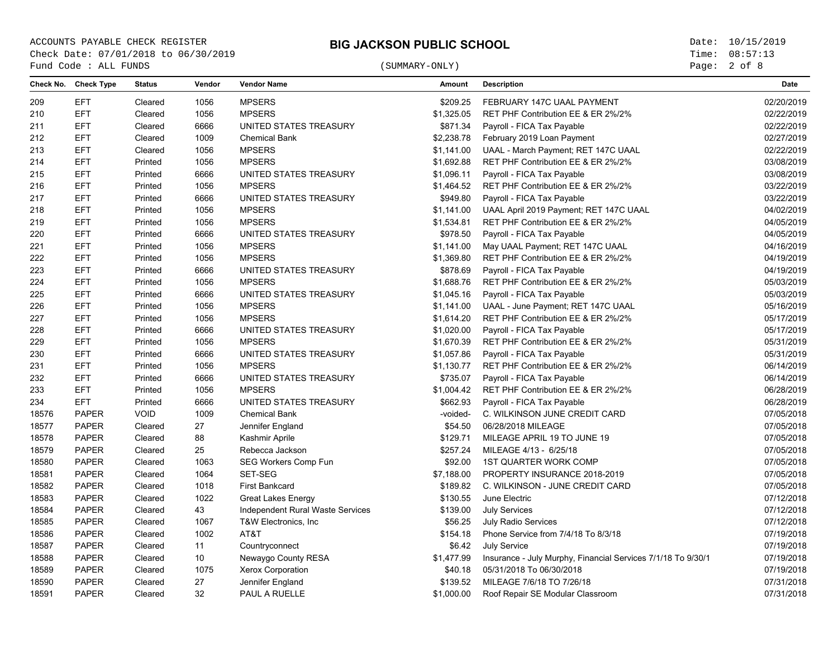**BIG JACKSON PUBLIC SCHOOL** ACCOUNTS PAYABLE CHECK REGISTER Date: 10/15/2019 Check Date: 07/01/2018 to 06/30/2019 **The Collect Community Community** Time: 08:57:13 Fund Code : ALL FUNDS

# (SUMMARY-ONLY)

Page: 2 of 8

| Check No. | <b>Check Type</b> | <b>Status</b> | Vendor | <b>Vendor Name</b>               | <b>Amount</b> | <b>Description</b>                                           | Date       |
|-----------|-------------------|---------------|--------|----------------------------------|---------------|--------------------------------------------------------------|------------|
| 209       | <b>EFT</b>        | Cleared       | 1056   | <b>MPSERS</b>                    | \$209.25      | FEBRUARY 147C UAAL PAYMENT                                   | 02/20/2019 |
| 210       | <b>EFT</b>        | Cleared       | 1056   | <b>MPSERS</b>                    | \$1,325.05    | RET PHF Contribution EE & ER 2%/2%                           | 02/22/2019 |
| 211       | <b>EFT</b>        | Cleared       | 6666   | UNITED STATES TREASURY           | \$871.34      | Payroll - FICA Tax Payable                                   | 02/22/2019 |
| 212       | <b>EFT</b>        | Cleared       | 1009   | <b>Chemical Bank</b>             | \$2,238.78    | February 2019 Loan Payment                                   | 02/27/2019 |
| 213       | <b>EFT</b>        | Cleared       | 1056   | <b>MPSERS</b>                    | \$1,141.00    | UAAL - March Payment; RET 147C UAAL                          | 02/22/2019 |
| 214       | <b>EFT</b>        | Printed       | 1056   | <b>MPSERS</b>                    | \$1,692.88    | RET PHF Contribution EE & ER 2%/2%                           | 03/08/2019 |
| 215       | <b>EFT</b>        | Printed       | 6666   | UNITED STATES TREASURY           | \$1,096.11    | Payroll - FICA Tax Payable                                   | 03/08/2019 |
| 216       | <b>EFT</b>        | Printed       | 1056   | <b>MPSERS</b>                    | \$1,464.52    | RET PHF Contribution EE & ER 2%/2%                           | 03/22/2019 |
| 217       | <b>EFT</b>        | Printed       | 6666   | UNITED STATES TREASURY           | \$949.80      | Payroll - FICA Tax Payable                                   | 03/22/2019 |
| 218       | <b>EFT</b>        | Printed       | 1056   | <b>MPSERS</b>                    | \$1,141.00    | UAAL April 2019 Payment; RET 147C UAAL                       | 04/02/2019 |
| 219       | <b>EFT</b>        | Printed       | 1056   | <b>MPSERS</b>                    | \$1,534.81    | RET PHF Contribution EE & ER 2%/2%                           | 04/05/2019 |
| 220       | <b>EFT</b>        | Printed       | 6666   | UNITED STATES TREASURY           | \$978.50      | Payroll - FICA Tax Payable                                   | 04/05/2019 |
| 221       | <b>EFT</b>        | Printed       | 1056   | <b>MPSERS</b>                    | \$1,141.00    | May UAAL Payment; RET 147C UAAL                              | 04/16/2019 |
| 222       | <b>EFT</b>        | Printed       | 1056   | <b>MPSERS</b>                    | \$1,369.80    | RET PHF Contribution EE & ER 2%/2%                           | 04/19/2019 |
| 223       | <b>EFT</b>        | Printed       | 6666   | UNITED STATES TREASURY           | \$878.69      | Payroll - FICA Tax Payable                                   | 04/19/2019 |
| 224       | <b>EFT</b>        | Printed       | 1056   | <b>MPSERS</b>                    | \$1,688.76    | RET PHF Contribution EE & ER 2%/2%                           | 05/03/2019 |
| 225       | <b>EFT</b>        | Printed       | 6666   | UNITED STATES TREASURY           | \$1,045.16    | Payroll - FICA Tax Payable                                   | 05/03/2019 |
| 226       | <b>EFT</b>        | Printed       | 1056   | <b>MPSERS</b>                    | \$1,141.00    | UAAL - June Payment; RET 147C UAAL                           | 05/16/2019 |
| 227       | <b>EFT</b>        | Printed       | 1056   | <b>MPSERS</b>                    | \$1,614.20    | RET PHF Contribution EE & ER 2%/2%                           | 05/17/2019 |
| 228       | <b>EFT</b>        | Printed       | 6666   | UNITED STATES TREASURY           | \$1,020.00    | Payroll - FICA Tax Payable                                   | 05/17/2019 |
| 229       | <b>EFT</b>        | Printed       | 1056   | <b>MPSERS</b>                    | \$1,670.39    | RET PHF Contribution EE & ER 2%/2%                           | 05/31/2019 |
| 230       | <b>EFT</b>        | Printed       | 6666   | UNITED STATES TREASURY           | \$1,057.86    | Payroll - FICA Tax Payable                                   | 05/31/2019 |
| 231       | <b>EFT</b>        | Printed       | 1056   | <b>MPSERS</b>                    | \$1,130.77    | RET PHF Contribution EE & ER 2%/2%                           | 06/14/2019 |
| 232       | <b>EFT</b>        | Printed       | 6666   | UNITED STATES TREASURY           | \$735.07      | Payroll - FICA Tax Payable                                   | 06/14/2019 |
| 233       | <b>EFT</b>        | Printed       | 1056   | <b>MPSERS</b>                    | \$1,004.42    | RET PHF Contribution EE & ER 2%/2%                           | 06/28/2019 |
| 234       | <b>EFT</b>        | Printed       | 6666   | UNITED STATES TREASURY           | \$662.93      | Payroll - FICA Tax Payable                                   | 06/28/2019 |
| 18576     | <b>PAPER</b>      | <b>VOID</b>   | 1009   | <b>Chemical Bank</b>             | -voided-      | C. WILKINSON JUNE CREDIT CARD                                | 07/05/2018 |
| 18577     | <b>PAPER</b>      | Cleared       | 27     | Jennifer England                 | \$54.50       | 06/28/2018 MILEAGE                                           | 07/05/2018 |
| 18578     | <b>PAPER</b>      | Cleared       | 88     | Kashmir Aprile                   | \$129.71      | MILEAGE APRIL 19 TO JUNE 19                                  | 07/05/2018 |
| 18579     | <b>PAPER</b>      | Cleared       | 25     | Rebecca Jackson                  | \$257.24      | MILEAGE 4/13 - 6/25/18                                       | 07/05/2018 |
| 18580     | <b>PAPER</b>      | Cleared       | 1063   | <b>SEG Workers Comp Fun</b>      | \$92.00       | <b>1ST QUARTER WORK COMP</b>                                 | 07/05/2018 |
| 18581     | <b>PAPER</b>      | Cleared       | 1064   | SET-SEG                          | \$7,188.00    | PROPERTY INSURANCE 2018-2019                                 | 07/05/2018 |
| 18582     | <b>PAPER</b>      | Cleared       | 1018   | <b>First Bankcard</b>            | \$189.82      | C. WILKINSON - JUNE CREDIT CARD                              | 07/05/2018 |
| 18583     | <b>PAPER</b>      | Cleared       | 1022   | <b>Great Lakes Energy</b>        | \$130.55      | June Electric                                                | 07/12/2018 |
| 18584     | <b>PAPER</b>      | Cleared       | 43     | Independent Rural Waste Services | \$139.00      | <b>July Services</b>                                         | 07/12/2018 |
| 18585     | <b>PAPER</b>      | Cleared       | 1067   | T&W Electronics, Inc.            | \$56.25       | <b>July Radio Services</b>                                   | 07/12/2018 |
| 18586     | <b>PAPER</b>      | Cleared       | 1002   | AT&T                             | \$154.18      | Phone Service from 7/4/18 To 8/3/18                          | 07/19/2018 |
| 18587     | <b>PAPER</b>      | Cleared       | 11     | Countryconnect                   | \$6.42        | <b>July Service</b>                                          | 07/19/2018 |
| 18588     | <b>PAPER</b>      | Cleared       | 10     | Newaygo County RESA              | \$1,477.99    | Insurance - July Murphy, Financial Services 7/1/18 To 9/30/1 | 07/19/2018 |
| 18589     | <b>PAPER</b>      | Cleared       | 1075   | <b>Xerox Corporation</b>         | \$40.18       | 05/31/2018 To 06/30/2018                                     | 07/19/2018 |
| 18590     | <b>PAPER</b>      | Cleared       | 27     | Jennifer England                 | \$139.52      | MILEAGE 7/6/18 TO 7/26/18                                    | 07/31/2018 |
| 18591     | <b>PAPER</b>      | Cleared       | 32     | PAUL A RUELLE                    | \$1,000.00    | Roof Repair SE Modular Classroom                             | 07/31/2018 |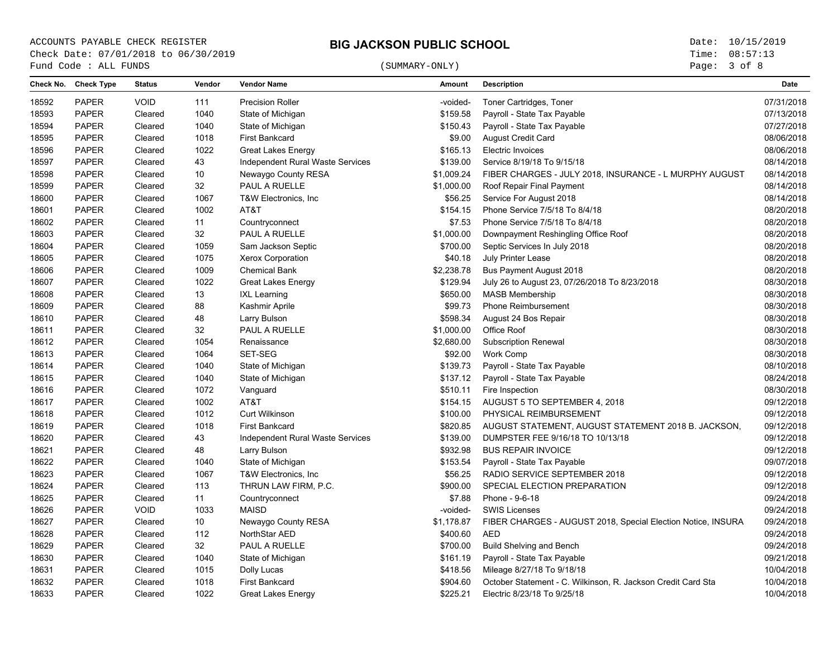# (SUMMARY-ONLY)

Page: 3 of 8

|       | Check No. Check Type | <b>Status</b> | Vendor | <b>Vendor Name</b>               | Amount     | <b>Description</b>                                           | <b>Date</b> |
|-------|----------------------|---------------|--------|----------------------------------|------------|--------------------------------------------------------------|-------------|
| 18592 | <b>PAPER</b>         | <b>VOID</b>   | 111    | <b>Precision Roller</b>          | -voided-   | Toner Cartridges, Toner                                      | 07/31/2018  |
| 18593 | <b>PAPER</b>         | Cleared       | 1040   | State of Michigan                | \$159.58   | Payroll - State Tax Payable                                  | 07/13/2018  |
| 18594 | <b>PAPER</b>         | Cleared       | 1040   | State of Michigan                | \$150.43   | Payroll - State Tax Payable                                  | 07/27/2018  |
| 18595 | <b>PAPER</b>         | Cleared       | 1018   | <b>First Bankcard</b>            | \$9.00     | <b>August Credit Card</b>                                    | 08/06/2018  |
| 18596 | <b>PAPER</b>         | Cleared       | 1022   | <b>Great Lakes Energy</b>        | \$165.13   | Electric Invoices                                            | 08/06/2018  |
| 18597 | <b>PAPER</b>         | Cleared       | 43     | Independent Rural Waste Services | \$139.00   | Service 8/19/18 To 9/15/18                                   | 08/14/2018  |
| 18598 | <b>PAPER</b>         | Cleared       | 10     | Newaygo County RESA              | \$1,009.24 | FIBER CHARGES - JULY 2018, INSURANCE - L MURPHY AUGUST       | 08/14/2018  |
| 18599 | <b>PAPER</b>         | Cleared       | 32     | PAUL A RUELLE                    | \$1,000.00 | Roof Repair Final Payment                                    | 08/14/2018  |
| 18600 | <b>PAPER</b>         | Cleared       | 1067   | T&W Electronics, Inc.            | \$56.25    | Service For August 2018                                      | 08/14/2018  |
| 18601 | <b>PAPER</b>         | Cleared       | 1002   | AT&T                             | \$154.15   | Phone Service 7/5/18 To 8/4/18                               | 08/20/2018  |
| 18602 | <b>PAPER</b>         | Cleared       | 11     | Countryconnect                   | \$7.53     | Phone Service 7/5/18 To 8/4/18                               | 08/20/2018  |
| 18603 | PAPER                | Cleared       | 32     | PAUL A RUELLE                    | \$1,000.00 | Downpayment Reshingling Office Roof                          | 08/20/2018  |
| 18604 | <b>PAPER</b>         | Cleared       | 1059   | Sam Jackson Septic               | \$700.00   | Septic Services In July 2018                                 | 08/20/2018  |
| 18605 | <b>PAPER</b>         | Cleared       | 1075   | <b>Xerox Corporation</b>         | \$40.18    | July Printer Lease                                           | 08/20/2018  |
| 18606 | <b>PAPER</b>         | Cleared       | 1009   | <b>Chemical Bank</b>             | \$2,238.78 | <b>Bus Payment August 2018</b>                               | 08/20/2018  |
| 18607 | <b>PAPER</b>         | Cleared       | 1022   | <b>Great Lakes Energy</b>        | \$129.94   | July 26 to August 23, 07/26/2018 To 8/23/2018                | 08/30/2018  |
| 18608 | <b>PAPER</b>         | Cleared       | 13     | <b>IXL Learning</b>              | \$650.00   | <b>MASB Membership</b>                                       | 08/30/2018  |
| 18609 | PAPER                | Cleared       | 88     | Kashmir Aprile                   | \$99.73    | <b>Phone Reimbursement</b>                                   | 08/30/2018  |
| 18610 | <b>PAPER</b>         | Cleared       | 48     | Larry Bulson                     | \$598.34   | August 24 Bos Repair                                         | 08/30/2018  |
| 18611 | <b>PAPER</b>         | Cleared       | 32     | PAUL A RUELLE                    | \$1,000.00 | Office Roof                                                  | 08/30/2018  |
| 18612 | <b>PAPER</b>         | Cleared       | 1054   | Renaissance                      | \$2,680.00 | <b>Subscription Renewal</b>                                  | 08/30/2018  |
| 18613 | <b>PAPER</b>         | Cleared       | 1064   | SET-SEG                          | \$92.00    | <b>Work Comp</b>                                             | 08/30/2018  |
| 18614 | <b>PAPER</b>         | Cleared       | 1040   | State of Michigan                | \$139.73   | Payroll - State Tax Payable                                  | 08/10/2018  |
| 18615 | <b>PAPER</b>         | Cleared       | 1040   | State of Michigan                | \$137.12   | Payroll - State Tax Payable                                  | 08/24/2018  |
| 18616 | PAPER                | Cleared       | 1072   | Vanguard                         | \$510.11   | Fire Inspection                                              | 08/30/2018  |
| 18617 | <b>PAPER</b>         | Cleared       | 1002   | AT&T                             | \$154.15   | AUGUST 5 TO SEPTEMBER 4, 2018                                | 09/12/2018  |
| 18618 | <b>PAPER</b>         | Cleared       | 1012   | <b>Curt Wilkinson</b>            | \$100.00   | PHYSICAL REIMBURSEMENT                                       | 09/12/2018  |
| 18619 | <b>PAPER</b>         | Cleared       | 1018   | <b>First Bankcard</b>            | \$820.85   | AUGUST STATEMENT, AUGUST STATEMENT 2018 B. JACKSON,          | 09/12/2018  |
| 18620 | <b>PAPER</b>         | Cleared       | 43     | Independent Rural Waste Services | \$139.00   | DUMPSTER FEE 9/16/18 TO 10/13/18                             | 09/12/2018  |
| 18621 | <b>PAPER</b>         | Cleared       | 48     | Larry Bulson                     | \$932.98   | <b>BUS REPAIR INVOICE</b>                                    | 09/12/2018  |
| 18622 | <b>PAPER</b>         | Cleared       | 1040   | State of Michigan                | \$153.54   | Payroll - State Tax Payable                                  | 09/07/2018  |
| 18623 | <b>PAPER</b>         | Cleared       | 1067   | T&W Electronics, Inc             | \$56.25    | RADIO SERVICE SEPTEMBER 2018                                 | 09/12/2018  |
| 18624 | <b>PAPER</b>         | Cleared       | 113    | THRUN LAW FIRM, P.C.             | \$900.00   | SPECIAL ELECTION PREPARATION                                 | 09/12/2018  |
| 18625 | <b>PAPER</b>         | Cleared       | 11     | Countryconnect                   | \$7.88     | Phone - 9-6-18                                               | 09/24/2018  |
| 18626 | <b>PAPER</b>         | VOID          | 1033   | MAISD                            | -voided-   | <b>SWIS Licenses</b>                                         | 09/24/2018  |
| 18627 | <b>PAPER</b>         | Cleared       | 10     | Newaygo County RESA              | \$1,178.87 | FIBER CHARGES - AUGUST 2018, Special Election Notice, INSURA | 09/24/2018  |
| 18628 | <b>PAPER</b>         | Cleared       | 112    | NorthStar AED                    | \$400.60   | <b>AED</b>                                                   | 09/24/2018  |
| 18629 | PAPER                | Cleared       | 32     | PAUL A RUELLE                    | \$700.00   | <b>Build Shelving and Bench</b>                              | 09/24/2018  |
| 18630 | <b>PAPER</b>         | Cleared       | 1040   | State of Michigan                | \$161.19   | Payroll - State Tax Payable                                  | 09/21/2018  |
| 18631 | <b>PAPER</b>         | Cleared       | 1015   | Dolly Lucas                      | \$418.56   | Mileage 8/27/18 To 9/18/18                                   | 10/04/2018  |
| 18632 | <b>PAPER</b>         | Cleared       | 1018   | <b>First Bankcard</b>            | \$904.60   | October Statement - C. Wilkinson, R. Jackson Credit Card Sta | 10/04/2018  |
| 18633 | <b>PAPER</b>         | Cleared       | 1022   | <b>Great Lakes Energy</b>        | \$225.21   | Electric 8/23/18 To 9/25/18                                  | 10/04/2018  |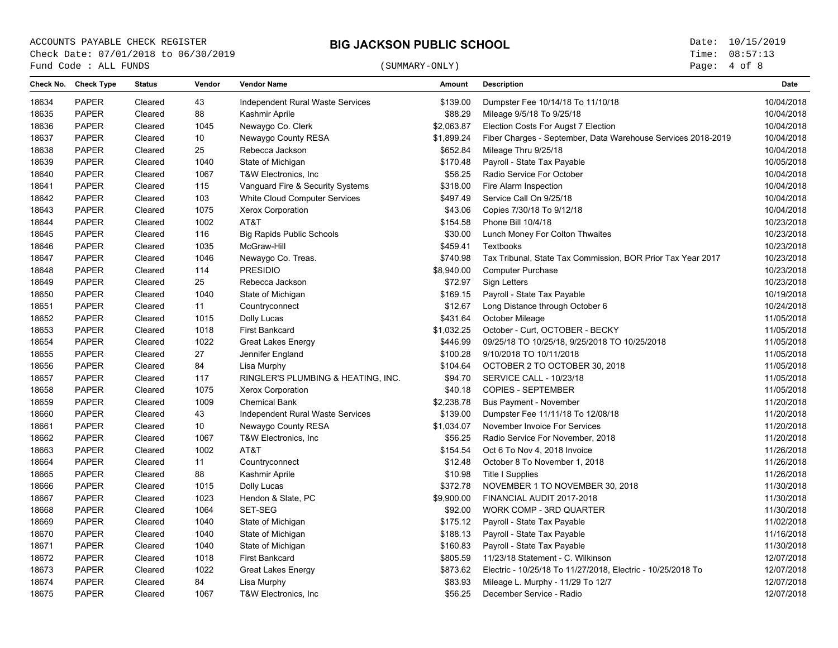# (SUMMARY-ONLY)

Page: 4 of 8

| 18634<br><b>PAPER</b><br>Cleared<br>43<br>Independent Rural Waste Services<br>\$139.00<br>Dumpster Fee 10/14/18 To 11/10/18<br>88<br>18635<br><b>PAPER</b><br>Cleared<br>Kashmir Aprile<br>\$88.29<br>Mileage 9/5/18 To 9/25/18<br>18636<br>PAPER<br>1045<br>Newaygo Co. Clerk<br>\$2,063.87<br>Cleared<br>Election Costs For Augst 7 Election<br>18637<br><b>PAPER</b><br>10<br>Newaygo County RESA<br>\$1,899.24<br>Cleared<br>Fiber Charges - September, Data Warehouse Services 2018-2019<br>18638<br><b>PAPER</b><br>25<br>\$652.84<br>Mileage Thru 9/25/18<br>Cleared<br>Rebecca Jackson<br>18639<br><b>PAPER</b><br>1040<br>\$170.48<br>Payroll - State Tax Payable<br>Cleared<br>State of Michigan<br>18640<br><b>PAPER</b><br>\$56.25<br>Radio Service For October<br>Cleared<br>1067<br>T&W Electronics, Inc.<br><b>PAPER</b><br>18641<br>Cleared<br>115<br>Vanguard Fire & Security Systems<br>\$318.00<br>Fire Alarm Inspection<br><b>PAPER</b><br>18642<br>103<br>White Cloud Computer Services<br>\$497.49<br>Service Call On 9/25/18<br>Cleared<br><b>PAPER</b><br>1075<br>\$43.06<br>18643<br>Xerox Corporation<br>Copies 7/30/18 To 9/12/18<br>Cleared<br><b>PAPER</b><br>1002<br>AT&T<br>18644<br>\$154.58<br>Phone Bill 10/4/18<br>Cleared<br><b>PAPER</b><br>18645<br>Cleared<br>116<br><b>Big Rapids Public Schools</b><br>\$30.00<br>Lunch Money For Colton Thwaites<br>18646<br><b>PAPER</b><br>1035<br>McGraw-Hill<br>\$459.41<br>Textbooks<br>Cleared<br>18647<br><b>PAPER</b><br>\$740.98<br>Cleared<br>1046<br>Newaygo Co. Treas.<br>Tax Tribunal, State Tax Commission, BOR Prior Tax Year 2017<br><b>PAPER</b><br>114<br><b>PRESIDIO</b><br>\$8,940.00<br><b>Computer Purchase</b><br>18648<br>Cleared<br>PAPER<br>25<br>18649<br>\$72.97<br>Sign Letters<br>Cleared<br>Rebecca Jackson<br>18650<br><b>PAPER</b><br>1040<br>\$169.15<br>Payroll - State Tax Payable<br>Cleared<br>State of Michigan<br><b>PAPER</b><br>\$12.67<br>18651<br>Cleared<br>11<br>Countryconnect<br>Long Distance through October 6<br>18652<br><b>PAPER</b><br>1015<br>\$431.64<br>Cleared<br>Dolly Lucas<br>October Mileage<br><b>PAPER</b><br>18653<br>Cleared<br>1018<br><b>First Bankcard</b><br>\$1,032.25<br>October - Curt, OCTOBER - BECKY<br><b>PAPER</b><br>1022<br>18654<br>Cleared<br>\$446.99<br>Great Lakes Energy<br>09/25/18 TO 10/25/18, 9/25/2018 TO 10/25/2018<br><b>PAPER</b><br>27<br>18655<br>\$100.28<br>9/10/2018 TO 10/11/2018<br>Cleared<br>Jennifer England<br>18656<br><b>PAPER</b><br>84<br>Lisa Murphy<br>\$104.64<br>OCTOBER 2 TO OCTOBER 30, 2018<br>Cleared<br><b>PAPER</b><br>18657<br>117<br>RINGLER'S PLUMBING & HEATING, INC.<br>\$94.70<br>SERVICE CALL - 10/23/18<br>Cleared<br>18658<br><b>PAPER</b><br>1075<br>\$40.18<br><b>COPIES - SEPTEMBER</b><br>11/05/2018<br>Cleared<br><b>Xerox Corporation</b><br>PAPER<br>1009<br>\$2,238.78<br>11/20/2018<br>18659<br>Cleared<br><b>Chemical Bank</b><br><b>Bus Payment - November</b><br>18660<br>PAPER<br>43<br>\$139.00<br>11/20/2018<br>Cleared<br>Independent Rural Waste Services<br>Dumpster Fee 11/11/18 To 12/08/18<br>18661<br><b>PAPER</b><br>\$1,034.07<br>11/20/2018<br>Cleared<br>10<br>Newaygo County RESA<br>November Invoice For Services<br>18662<br>PAPER<br>1067<br>\$56.25<br>11/20/2018<br>Cleared<br>T&W Electronics, Inc.<br>Radio Service For November, 2018<br>18663<br><b>PAPER</b><br>1002<br>AT&T<br>\$154.54<br>11/26/2018<br>Cleared<br>Oct 6 To Nov 4, 2018 Invoice<br>18664<br><b>PAPER</b><br>\$12.48<br>11/26/2018<br>Cleared<br>11<br>Countryconnect<br>October 8 To November 1, 2018<br><b>PAPER</b><br>18665<br>Cleared<br>88<br>Kashmir Aprile<br>\$10.98<br><b>Title I Supplies</b><br>11/26/2018<br><b>PAPER</b><br>\$372.78<br>11/30/2018<br>18666<br>1015<br>Dolly Lucas<br>NOVEMBER 1 TO NOVEMBER 30, 2018<br>Cleared<br><b>PAPER</b><br>11/30/2018<br>18667<br>1023<br>Hendon & Slate, PC<br>\$9,900.00<br>FINANCIAL AUDIT 2017-2018<br>Cleared<br>18668<br><b>PAPER</b><br>1064<br>SET-SEG<br>\$92.00<br><b>WORK COMP - 3RD QUARTER</b><br>11/30/2018<br>Cleared<br><b>PAPER</b><br>1040<br>18669<br>Cleared<br>State of Michigan<br>\$175.12<br>Payroll - State Tax Payable<br>11/02/2018<br>18670<br><b>PAPER</b><br>1040<br>\$188.13<br>Payroll - State Tax Payable<br>11/16/2018<br>Cleared<br>State of Michigan<br>18671<br><b>PAPER</b><br>1040<br>\$160.83<br>Payroll - State Tax Payable<br>11/30/2018<br>Cleared<br>State of Michigan<br>18672<br><b>PAPER</b><br>1018<br>12/07/2018<br>Cleared<br><b>First Bankcard</b><br>\$805.59<br>11/23/18 Statement - C. Wilkinson<br>1022<br>18673<br><b>PAPER</b><br>\$873.62<br>Electric - 10/25/18 To 11/27/2018, Electric - 10/25/2018 To<br>12/07/2018<br>Cleared<br><b>Great Lakes Energy</b><br>84<br>18674<br><b>PAPER</b><br>\$83.93<br>12/07/2018<br>Cleared<br>Lisa Murphy<br>Mileage L. Murphy - 11/29 To 12/7 | Check No. | <b>Check Type</b> | <b>Status</b> | Vendor | <b>Vendor Name</b> | <b>Amount</b> | <b>Description</b> | <b>Date</b> |
|------------------------------------------------------------------------------------------------------------------------------------------------------------------------------------------------------------------------------------------------------------------------------------------------------------------------------------------------------------------------------------------------------------------------------------------------------------------------------------------------------------------------------------------------------------------------------------------------------------------------------------------------------------------------------------------------------------------------------------------------------------------------------------------------------------------------------------------------------------------------------------------------------------------------------------------------------------------------------------------------------------------------------------------------------------------------------------------------------------------------------------------------------------------------------------------------------------------------------------------------------------------------------------------------------------------------------------------------------------------------------------------------------------------------------------------------------------------------------------------------------------------------------------------------------------------------------------------------------------------------------------------------------------------------------------------------------------------------------------------------------------------------------------------------------------------------------------------------------------------------------------------------------------------------------------------------------------------------------------------------------------------------------------------------------------------------------------------------------------------------------------------------------------------------------------------------------------------------------------------------------------------------------------------------------------------------------------------------------------------------------------------------------------------------------------------------------------------------------------------------------------------------------------------------------------------------------------------------------------------------------------------------------------------------------------------------------------------------------------------------------------------------------------------------------------------------------------------------------------------------------------------------------------------------------------------------------------------------------------------------------------------------------------------------------------------------------------------------------------------------------------------------------------------------------------------------------------------------------------------------------------------------------------------------------------------------------------------------------------------------------------------------------------------------------------------------------------------------------------------------------------------------------------------------------------------------------------------------------------------------------------------------------------------------------------------------------------------------------------------------------------------------------------------------------------------------------------------------------------------------------------------------------------------------------------------------------------------------------------------------------------------------------------------------------------------------------------------------------------------------------------------------------------------------------------------------------------------------------------------------------------------------------------------------------------------------------------------------------------------------------------------------------------------------------------------------------------------------------------------------------------------------------------------------------------------------------------------------------------------------------------------------------------------------------------------------------------------------------------------------------------------------------------------------------------------------------------------------------------------------------------------------------------------------|-----------|-------------------|---------------|--------|--------------------|---------------|--------------------|-------------|
|                                                                                                                                                                                                                                                                                                                                                                                                                                                                                                                                                                                                                                                                                                                                                                                                                                                                                                                                                                                                                                                                                                                                                                                                                                                                                                                                                                                                                                                                                                                                                                                                                                                                                                                                                                                                                                                                                                                                                                                                                                                                                                                                                                                                                                                                                                                                                                                                                                                                                                                                                                                                                                                                                                                                                                                                                                                                                                                                                                                                                                                                                                                                                                                                                                                                                                                                                                                                                                                                                                                                                                                                                                                                                                                                                                                                                                                                                                                                                                                                                                                                                                                                                                                                                                                                                                                                                                                                                                                                                                                                                                                                                                                                                                                                                                                                                                                                                                                        |           |                   |               |        |                    |               |                    | 10/04/2018  |
|                                                                                                                                                                                                                                                                                                                                                                                                                                                                                                                                                                                                                                                                                                                                                                                                                                                                                                                                                                                                                                                                                                                                                                                                                                                                                                                                                                                                                                                                                                                                                                                                                                                                                                                                                                                                                                                                                                                                                                                                                                                                                                                                                                                                                                                                                                                                                                                                                                                                                                                                                                                                                                                                                                                                                                                                                                                                                                                                                                                                                                                                                                                                                                                                                                                                                                                                                                                                                                                                                                                                                                                                                                                                                                                                                                                                                                                                                                                                                                                                                                                                                                                                                                                                                                                                                                                                                                                                                                                                                                                                                                                                                                                                                                                                                                                                                                                                                                                        |           |                   |               |        |                    |               |                    | 10/04/2018  |
|                                                                                                                                                                                                                                                                                                                                                                                                                                                                                                                                                                                                                                                                                                                                                                                                                                                                                                                                                                                                                                                                                                                                                                                                                                                                                                                                                                                                                                                                                                                                                                                                                                                                                                                                                                                                                                                                                                                                                                                                                                                                                                                                                                                                                                                                                                                                                                                                                                                                                                                                                                                                                                                                                                                                                                                                                                                                                                                                                                                                                                                                                                                                                                                                                                                                                                                                                                                                                                                                                                                                                                                                                                                                                                                                                                                                                                                                                                                                                                                                                                                                                                                                                                                                                                                                                                                                                                                                                                                                                                                                                                                                                                                                                                                                                                                                                                                                                                                        |           |                   |               |        |                    |               |                    | 10/04/2018  |
|                                                                                                                                                                                                                                                                                                                                                                                                                                                                                                                                                                                                                                                                                                                                                                                                                                                                                                                                                                                                                                                                                                                                                                                                                                                                                                                                                                                                                                                                                                                                                                                                                                                                                                                                                                                                                                                                                                                                                                                                                                                                                                                                                                                                                                                                                                                                                                                                                                                                                                                                                                                                                                                                                                                                                                                                                                                                                                                                                                                                                                                                                                                                                                                                                                                                                                                                                                                                                                                                                                                                                                                                                                                                                                                                                                                                                                                                                                                                                                                                                                                                                                                                                                                                                                                                                                                                                                                                                                                                                                                                                                                                                                                                                                                                                                                                                                                                                                                        |           |                   |               |        |                    |               |                    | 10/04/2018  |
|                                                                                                                                                                                                                                                                                                                                                                                                                                                                                                                                                                                                                                                                                                                                                                                                                                                                                                                                                                                                                                                                                                                                                                                                                                                                                                                                                                                                                                                                                                                                                                                                                                                                                                                                                                                                                                                                                                                                                                                                                                                                                                                                                                                                                                                                                                                                                                                                                                                                                                                                                                                                                                                                                                                                                                                                                                                                                                                                                                                                                                                                                                                                                                                                                                                                                                                                                                                                                                                                                                                                                                                                                                                                                                                                                                                                                                                                                                                                                                                                                                                                                                                                                                                                                                                                                                                                                                                                                                                                                                                                                                                                                                                                                                                                                                                                                                                                                                                        |           |                   |               |        |                    |               |                    | 10/04/2018  |
|                                                                                                                                                                                                                                                                                                                                                                                                                                                                                                                                                                                                                                                                                                                                                                                                                                                                                                                                                                                                                                                                                                                                                                                                                                                                                                                                                                                                                                                                                                                                                                                                                                                                                                                                                                                                                                                                                                                                                                                                                                                                                                                                                                                                                                                                                                                                                                                                                                                                                                                                                                                                                                                                                                                                                                                                                                                                                                                                                                                                                                                                                                                                                                                                                                                                                                                                                                                                                                                                                                                                                                                                                                                                                                                                                                                                                                                                                                                                                                                                                                                                                                                                                                                                                                                                                                                                                                                                                                                                                                                                                                                                                                                                                                                                                                                                                                                                                                                        |           |                   |               |        |                    |               |                    | 10/05/2018  |
|                                                                                                                                                                                                                                                                                                                                                                                                                                                                                                                                                                                                                                                                                                                                                                                                                                                                                                                                                                                                                                                                                                                                                                                                                                                                                                                                                                                                                                                                                                                                                                                                                                                                                                                                                                                                                                                                                                                                                                                                                                                                                                                                                                                                                                                                                                                                                                                                                                                                                                                                                                                                                                                                                                                                                                                                                                                                                                                                                                                                                                                                                                                                                                                                                                                                                                                                                                                                                                                                                                                                                                                                                                                                                                                                                                                                                                                                                                                                                                                                                                                                                                                                                                                                                                                                                                                                                                                                                                                                                                                                                                                                                                                                                                                                                                                                                                                                                                                        |           |                   |               |        |                    |               |                    | 10/04/2018  |
|                                                                                                                                                                                                                                                                                                                                                                                                                                                                                                                                                                                                                                                                                                                                                                                                                                                                                                                                                                                                                                                                                                                                                                                                                                                                                                                                                                                                                                                                                                                                                                                                                                                                                                                                                                                                                                                                                                                                                                                                                                                                                                                                                                                                                                                                                                                                                                                                                                                                                                                                                                                                                                                                                                                                                                                                                                                                                                                                                                                                                                                                                                                                                                                                                                                                                                                                                                                                                                                                                                                                                                                                                                                                                                                                                                                                                                                                                                                                                                                                                                                                                                                                                                                                                                                                                                                                                                                                                                                                                                                                                                                                                                                                                                                                                                                                                                                                                                                        |           |                   |               |        |                    |               |                    | 10/04/2018  |
|                                                                                                                                                                                                                                                                                                                                                                                                                                                                                                                                                                                                                                                                                                                                                                                                                                                                                                                                                                                                                                                                                                                                                                                                                                                                                                                                                                                                                                                                                                                                                                                                                                                                                                                                                                                                                                                                                                                                                                                                                                                                                                                                                                                                                                                                                                                                                                                                                                                                                                                                                                                                                                                                                                                                                                                                                                                                                                                                                                                                                                                                                                                                                                                                                                                                                                                                                                                                                                                                                                                                                                                                                                                                                                                                                                                                                                                                                                                                                                                                                                                                                                                                                                                                                                                                                                                                                                                                                                                                                                                                                                                                                                                                                                                                                                                                                                                                                                                        |           |                   |               |        |                    |               |                    | 10/04/2018  |
|                                                                                                                                                                                                                                                                                                                                                                                                                                                                                                                                                                                                                                                                                                                                                                                                                                                                                                                                                                                                                                                                                                                                                                                                                                                                                                                                                                                                                                                                                                                                                                                                                                                                                                                                                                                                                                                                                                                                                                                                                                                                                                                                                                                                                                                                                                                                                                                                                                                                                                                                                                                                                                                                                                                                                                                                                                                                                                                                                                                                                                                                                                                                                                                                                                                                                                                                                                                                                                                                                                                                                                                                                                                                                                                                                                                                                                                                                                                                                                                                                                                                                                                                                                                                                                                                                                                                                                                                                                                                                                                                                                                                                                                                                                                                                                                                                                                                                                                        |           |                   |               |        |                    |               |                    | 10/04/2018  |
|                                                                                                                                                                                                                                                                                                                                                                                                                                                                                                                                                                                                                                                                                                                                                                                                                                                                                                                                                                                                                                                                                                                                                                                                                                                                                                                                                                                                                                                                                                                                                                                                                                                                                                                                                                                                                                                                                                                                                                                                                                                                                                                                                                                                                                                                                                                                                                                                                                                                                                                                                                                                                                                                                                                                                                                                                                                                                                                                                                                                                                                                                                                                                                                                                                                                                                                                                                                                                                                                                                                                                                                                                                                                                                                                                                                                                                                                                                                                                                                                                                                                                                                                                                                                                                                                                                                                                                                                                                                                                                                                                                                                                                                                                                                                                                                                                                                                                                                        |           |                   |               |        |                    |               |                    | 10/23/2018  |
|                                                                                                                                                                                                                                                                                                                                                                                                                                                                                                                                                                                                                                                                                                                                                                                                                                                                                                                                                                                                                                                                                                                                                                                                                                                                                                                                                                                                                                                                                                                                                                                                                                                                                                                                                                                                                                                                                                                                                                                                                                                                                                                                                                                                                                                                                                                                                                                                                                                                                                                                                                                                                                                                                                                                                                                                                                                                                                                                                                                                                                                                                                                                                                                                                                                                                                                                                                                                                                                                                                                                                                                                                                                                                                                                                                                                                                                                                                                                                                                                                                                                                                                                                                                                                                                                                                                                                                                                                                                                                                                                                                                                                                                                                                                                                                                                                                                                                                                        |           |                   |               |        |                    |               |                    | 10/23/2018  |
|                                                                                                                                                                                                                                                                                                                                                                                                                                                                                                                                                                                                                                                                                                                                                                                                                                                                                                                                                                                                                                                                                                                                                                                                                                                                                                                                                                                                                                                                                                                                                                                                                                                                                                                                                                                                                                                                                                                                                                                                                                                                                                                                                                                                                                                                                                                                                                                                                                                                                                                                                                                                                                                                                                                                                                                                                                                                                                                                                                                                                                                                                                                                                                                                                                                                                                                                                                                                                                                                                                                                                                                                                                                                                                                                                                                                                                                                                                                                                                                                                                                                                                                                                                                                                                                                                                                                                                                                                                                                                                                                                                                                                                                                                                                                                                                                                                                                                                                        |           |                   |               |        |                    |               |                    | 10/23/2018  |
|                                                                                                                                                                                                                                                                                                                                                                                                                                                                                                                                                                                                                                                                                                                                                                                                                                                                                                                                                                                                                                                                                                                                                                                                                                                                                                                                                                                                                                                                                                                                                                                                                                                                                                                                                                                                                                                                                                                                                                                                                                                                                                                                                                                                                                                                                                                                                                                                                                                                                                                                                                                                                                                                                                                                                                                                                                                                                                                                                                                                                                                                                                                                                                                                                                                                                                                                                                                                                                                                                                                                                                                                                                                                                                                                                                                                                                                                                                                                                                                                                                                                                                                                                                                                                                                                                                                                                                                                                                                                                                                                                                                                                                                                                                                                                                                                                                                                                                                        |           |                   |               |        |                    |               |                    | 10/23/2018  |
|                                                                                                                                                                                                                                                                                                                                                                                                                                                                                                                                                                                                                                                                                                                                                                                                                                                                                                                                                                                                                                                                                                                                                                                                                                                                                                                                                                                                                                                                                                                                                                                                                                                                                                                                                                                                                                                                                                                                                                                                                                                                                                                                                                                                                                                                                                                                                                                                                                                                                                                                                                                                                                                                                                                                                                                                                                                                                                                                                                                                                                                                                                                                                                                                                                                                                                                                                                                                                                                                                                                                                                                                                                                                                                                                                                                                                                                                                                                                                                                                                                                                                                                                                                                                                                                                                                                                                                                                                                                                                                                                                                                                                                                                                                                                                                                                                                                                                                                        |           |                   |               |        |                    |               |                    | 10/23/2018  |
|                                                                                                                                                                                                                                                                                                                                                                                                                                                                                                                                                                                                                                                                                                                                                                                                                                                                                                                                                                                                                                                                                                                                                                                                                                                                                                                                                                                                                                                                                                                                                                                                                                                                                                                                                                                                                                                                                                                                                                                                                                                                                                                                                                                                                                                                                                                                                                                                                                                                                                                                                                                                                                                                                                                                                                                                                                                                                                                                                                                                                                                                                                                                                                                                                                                                                                                                                                                                                                                                                                                                                                                                                                                                                                                                                                                                                                                                                                                                                                                                                                                                                                                                                                                                                                                                                                                                                                                                                                                                                                                                                                                                                                                                                                                                                                                                                                                                                                                        |           |                   |               |        |                    |               |                    | 10/23/2018  |
|                                                                                                                                                                                                                                                                                                                                                                                                                                                                                                                                                                                                                                                                                                                                                                                                                                                                                                                                                                                                                                                                                                                                                                                                                                                                                                                                                                                                                                                                                                                                                                                                                                                                                                                                                                                                                                                                                                                                                                                                                                                                                                                                                                                                                                                                                                                                                                                                                                                                                                                                                                                                                                                                                                                                                                                                                                                                                                                                                                                                                                                                                                                                                                                                                                                                                                                                                                                                                                                                                                                                                                                                                                                                                                                                                                                                                                                                                                                                                                                                                                                                                                                                                                                                                                                                                                                                                                                                                                                                                                                                                                                                                                                                                                                                                                                                                                                                                                                        |           |                   |               |        |                    |               |                    | 10/19/2018  |
|                                                                                                                                                                                                                                                                                                                                                                                                                                                                                                                                                                                                                                                                                                                                                                                                                                                                                                                                                                                                                                                                                                                                                                                                                                                                                                                                                                                                                                                                                                                                                                                                                                                                                                                                                                                                                                                                                                                                                                                                                                                                                                                                                                                                                                                                                                                                                                                                                                                                                                                                                                                                                                                                                                                                                                                                                                                                                                                                                                                                                                                                                                                                                                                                                                                                                                                                                                                                                                                                                                                                                                                                                                                                                                                                                                                                                                                                                                                                                                                                                                                                                                                                                                                                                                                                                                                                                                                                                                                                                                                                                                                                                                                                                                                                                                                                                                                                                                                        |           |                   |               |        |                    |               |                    | 10/24/2018  |
|                                                                                                                                                                                                                                                                                                                                                                                                                                                                                                                                                                                                                                                                                                                                                                                                                                                                                                                                                                                                                                                                                                                                                                                                                                                                                                                                                                                                                                                                                                                                                                                                                                                                                                                                                                                                                                                                                                                                                                                                                                                                                                                                                                                                                                                                                                                                                                                                                                                                                                                                                                                                                                                                                                                                                                                                                                                                                                                                                                                                                                                                                                                                                                                                                                                                                                                                                                                                                                                                                                                                                                                                                                                                                                                                                                                                                                                                                                                                                                                                                                                                                                                                                                                                                                                                                                                                                                                                                                                                                                                                                                                                                                                                                                                                                                                                                                                                                                                        |           |                   |               |        |                    |               |                    | 11/05/2018  |
|                                                                                                                                                                                                                                                                                                                                                                                                                                                                                                                                                                                                                                                                                                                                                                                                                                                                                                                                                                                                                                                                                                                                                                                                                                                                                                                                                                                                                                                                                                                                                                                                                                                                                                                                                                                                                                                                                                                                                                                                                                                                                                                                                                                                                                                                                                                                                                                                                                                                                                                                                                                                                                                                                                                                                                                                                                                                                                                                                                                                                                                                                                                                                                                                                                                                                                                                                                                                                                                                                                                                                                                                                                                                                                                                                                                                                                                                                                                                                                                                                                                                                                                                                                                                                                                                                                                                                                                                                                                                                                                                                                                                                                                                                                                                                                                                                                                                                                                        |           |                   |               |        |                    |               |                    | 11/05/2018  |
|                                                                                                                                                                                                                                                                                                                                                                                                                                                                                                                                                                                                                                                                                                                                                                                                                                                                                                                                                                                                                                                                                                                                                                                                                                                                                                                                                                                                                                                                                                                                                                                                                                                                                                                                                                                                                                                                                                                                                                                                                                                                                                                                                                                                                                                                                                                                                                                                                                                                                                                                                                                                                                                                                                                                                                                                                                                                                                                                                                                                                                                                                                                                                                                                                                                                                                                                                                                                                                                                                                                                                                                                                                                                                                                                                                                                                                                                                                                                                                                                                                                                                                                                                                                                                                                                                                                                                                                                                                                                                                                                                                                                                                                                                                                                                                                                                                                                                                                        |           |                   |               |        |                    |               |                    | 11/05/2018  |
|                                                                                                                                                                                                                                                                                                                                                                                                                                                                                                                                                                                                                                                                                                                                                                                                                                                                                                                                                                                                                                                                                                                                                                                                                                                                                                                                                                                                                                                                                                                                                                                                                                                                                                                                                                                                                                                                                                                                                                                                                                                                                                                                                                                                                                                                                                                                                                                                                                                                                                                                                                                                                                                                                                                                                                                                                                                                                                                                                                                                                                                                                                                                                                                                                                                                                                                                                                                                                                                                                                                                                                                                                                                                                                                                                                                                                                                                                                                                                                                                                                                                                                                                                                                                                                                                                                                                                                                                                                                                                                                                                                                                                                                                                                                                                                                                                                                                                                                        |           |                   |               |        |                    |               |                    | 11/05/2018  |
|                                                                                                                                                                                                                                                                                                                                                                                                                                                                                                                                                                                                                                                                                                                                                                                                                                                                                                                                                                                                                                                                                                                                                                                                                                                                                                                                                                                                                                                                                                                                                                                                                                                                                                                                                                                                                                                                                                                                                                                                                                                                                                                                                                                                                                                                                                                                                                                                                                                                                                                                                                                                                                                                                                                                                                                                                                                                                                                                                                                                                                                                                                                                                                                                                                                                                                                                                                                                                                                                                                                                                                                                                                                                                                                                                                                                                                                                                                                                                                                                                                                                                                                                                                                                                                                                                                                                                                                                                                                                                                                                                                                                                                                                                                                                                                                                                                                                                                                        |           |                   |               |        |                    |               |                    | 11/05/2018  |
|                                                                                                                                                                                                                                                                                                                                                                                                                                                                                                                                                                                                                                                                                                                                                                                                                                                                                                                                                                                                                                                                                                                                                                                                                                                                                                                                                                                                                                                                                                                                                                                                                                                                                                                                                                                                                                                                                                                                                                                                                                                                                                                                                                                                                                                                                                                                                                                                                                                                                                                                                                                                                                                                                                                                                                                                                                                                                                                                                                                                                                                                                                                                                                                                                                                                                                                                                                                                                                                                                                                                                                                                                                                                                                                                                                                                                                                                                                                                                                                                                                                                                                                                                                                                                                                                                                                                                                                                                                                                                                                                                                                                                                                                                                                                                                                                                                                                                                                        |           |                   |               |        |                    |               |                    | 11/05/2018  |
|                                                                                                                                                                                                                                                                                                                                                                                                                                                                                                                                                                                                                                                                                                                                                                                                                                                                                                                                                                                                                                                                                                                                                                                                                                                                                                                                                                                                                                                                                                                                                                                                                                                                                                                                                                                                                                                                                                                                                                                                                                                                                                                                                                                                                                                                                                                                                                                                                                                                                                                                                                                                                                                                                                                                                                                                                                                                                                                                                                                                                                                                                                                                                                                                                                                                                                                                                                                                                                                                                                                                                                                                                                                                                                                                                                                                                                                                                                                                                                                                                                                                                                                                                                                                                                                                                                                                                                                                                                                                                                                                                                                                                                                                                                                                                                                                                                                                                                                        |           |                   |               |        |                    |               |                    |             |
|                                                                                                                                                                                                                                                                                                                                                                                                                                                                                                                                                                                                                                                                                                                                                                                                                                                                                                                                                                                                                                                                                                                                                                                                                                                                                                                                                                                                                                                                                                                                                                                                                                                                                                                                                                                                                                                                                                                                                                                                                                                                                                                                                                                                                                                                                                                                                                                                                                                                                                                                                                                                                                                                                                                                                                                                                                                                                                                                                                                                                                                                                                                                                                                                                                                                                                                                                                                                                                                                                                                                                                                                                                                                                                                                                                                                                                                                                                                                                                                                                                                                                                                                                                                                                                                                                                                                                                                                                                                                                                                                                                                                                                                                                                                                                                                                                                                                                                                        |           |                   |               |        |                    |               |                    |             |
|                                                                                                                                                                                                                                                                                                                                                                                                                                                                                                                                                                                                                                                                                                                                                                                                                                                                                                                                                                                                                                                                                                                                                                                                                                                                                                                                                                                                                                                                                                                                                                                                                                                                                                                                                                                                                                                                                                                                                                                                                                                                                                                                                                                                                                                                                                                                                                                                                                                                                                                                                                                                                                                                                                                                                                                                                                                                                                                                                                                                                                                                                                                                                                                                                                                                                                                                                                                                                                                                                                                                                                                                                                                                                                                                                                                                                                                                                                                                                                                                                                                                                                                                                                                                                                                                                                                                                                                                                                                                                                                                                                                                                                                                                                                                                                                                                                                                                                                        |           |                   |               |        |                    |               |                    |             |
|                                                                                                                                                                                                                                                                                                                                                                                                                                                                                                                                                                                                                                                                                                                                                                                                                                                                                                                                                                                                                                                                                                                                                                                                                                                                                                                                                                                                                                                                                                                                                                                                                                                                                                                                                                                                                                                                                                                                                                                                                                                                                                                                                                                                                                                                                                                                                                                                                                                                                                                                                                                                                                                                                                                                                                                                                                                                                                                                                                                                                                                                                                                                                                                                                                                                                                                                                                                                                                                                                                                                                                                                                                                                                                                                                                                                                                                                                                                                                                                                                                                                                                                                                                                                                                                                                                                                                                                                                                                                                                                                                                                                                                                                                                                                                                                                                                                                                                                        |           |                   |               |        |                    |               |                    |             |
|                                                                                                                                                                                                                                                                                                                                                                                                                                                                                                                                                                                                                                                                                                                                                                                                                                                                                                                                                                                                                                                                                                                                                                                                                                                                                                                                                                                                                                                                                                                                                                                                                                                                                                                                                                                                                                                                                                                                                                                                                                                                                                                                                                                                                                                                                                                                                                                                                                                                                                                                                                                                                                                                                                                                                                                                                                                                                                                                                                                                                                                                                                                                                                                                                                                                                                                                                                                                                                                                                                                                                                                                                                                                                                                                                                                                                                                                                                                                                                                                                                                                                                                                                                                                                                                                                                                                                                                                                                                                                                                                                                                                                                                                                                                                                                                                                                                                                                                        |           |                   |               |        |                    |               |                    |             |
|                                                                                                                                                                                                                                                                                                                                                                                                                                                                                                                                                                                                                                                                                                                                                                                                                                                                                                                                                                                                                                                                                                                                                                                                                                                                                                                                                                                                                                                                                                                                                                                                                                                                                                                                                                                                                                                                                                                                                                                                                                                                                                                                                                                                                                                                                                                                                                                                                                                                                                                                                                                                                                                                                                                                                                                                                                                                                                                                                                                                                                                                                                                                                                                                                                                                                                                                                                                                                                                                                                                                                                                                                                                                                                                                                                                                                                                                                                                                                                                                                                                                                                                                                                                                                                                                                                                                                                                                                                                                                                                                                                                                                                                                                                                                                                                                                                                                                                                        |           |                   |               |        |                    |               |                    |             |
|                                                                                                                                                                                                                                                                                                                                                                                                                                                                                                                                                                                                                                                                                                                                                                                                                                                                                                                                                                                                                                                                                                                                                                                                                                                                                                                                                                                                                                                                                                                                                                                                                                                                                                                                                                                                                                                                                                                                                                                                                                                                                                                                                                                                                                                                                                                                                                                                                                                                                                                                                                                                                                                                                                                                                                                                                                                                                                                                                                                                                                                                                                                                                                                                                                                                                                                                                                                                                                                                                                                                                                                                                                                                                                                                                                                                                                                                                                                                                                                                                                                                                                                                                                                                                                                                                                                                                                                                                                                                                                                                                                                                                                                                                                                                                                                                                                                                                                                        |           |                   |               |        |                    |               |                    |             |
|                                                                                                                                                                                                                                                                                                                                                                                                                                                                                                                                                                                                                                                                                                                                                                                                                                                                                                                                                                                                                                                                                                                                                                                                                                                                                                                                                                                                                                                                                                                                                                                                                                                                                                                                                                                                                                                                                                                                                                                                                                                                                                                                                                                                                                                                                                                                                                                                                                                                                                                                                                                                                                                                                                                                                                                                                                                                                                                                                                                                                                                                                                                                                                                                                                                                                                                                                                                                                                                                                                                                                                                                                                                                                                                                                                                                                                                                                                                                                                                                                                                                                                                                                                                                                                                                                                                                                                                                                                                                                                                                                                                                                                                                                                                                                                                                                                                                                                                        |           |                   |               |        |                    |               |                    |             |
|                                                                                                                                                                                                                                                                                                                                                                                                                                                                                                                                                                                                                                                                                                                                                                                                                                                                                                                                                                                                                                                                                                                                                                                                                                                                                                                                                                                                                                                                                                                                                                                                                                                                                                                                                                                                                                                                                                                                                                                                                                                                                                                                                                                                                                                                                                                                                                                                                                                                                                                                                                                                                                                                                                                                                                                                                                                                                                                                                                                                                                                                                                                                                                                                                                                                                                                                                                                                                                                                                                                                                                                                                                                                                                                                                                                                                                                                                                                                                                                                                                                                                                                                                                                                                                                                                                                                                                                                                                                                                                                                                                                                                                                                                                                                                                                                                                                                                                                        |           |                   |               |        |                    |               |                    |             |
|                                                                                                                                                                                                                                                                                                                                                                                                                                                                                                                                                                                                                                                                                                                                                                                                                                                                                                                                                                                                                                                                                                                                                                                                                                                                                                                                                                                                                                                                                                                                                                                                                                                                                                                                                                                                                                                                                                                                                                                                                                                                                                                                                                                                                                                                                                                                                                                                                                                                                                                                                                                                                                                                                                                                                                                                                                                                                                                                                                                                                                                                                                                                                                                                                                                                                                                                                                                                                                                                                                                                                                                                                                                                                                                                                                                                                                                                                                                                                                                                                                                                                                                                                                                                                                                                                                                                                                                                                                                                                                                                                                                                                                                                                                                                                                                                                                                                                                                        |           |                   |               |        |                    |               |                    |             |
|                                                                                                                                                                                                                                                                                                                                                                                                                                                                                                                                                                                                                                                                                                                                                                                                                                                                                                                                                                                                                                                                                                                                                                                                                                                                                                                                                                                                                                                                                                                                                                                                                                                                                                                                                                                                                                                                                                                                                                                                                                                                                                                                                                                                                                                                                                                                                                                                                                                                                                                                                                                                                                                                                                                                                                                                                                                                                                                                                                                                                                                                                                                                                                                                                                                                                                                                                                                                                                                                                                                                                                                                                                                                                                                                                                                                                                                                                                                                                                                                                                                                                                                                                                                                                                                                                                                                                                                                                                                                                                                                                                                                                                                                                                                                                                                                                                                                                                                        |           |                   |               |        |                    |               |                    |             |
|                                                                                                                                                                                                                                                                                                                                                                                                                                                                                                                                                                                                                                                                                                                                                                                                                                                                                                                                                                                                                                                                                                                                                                                                                                                                                                                                                                                                                                                                                                                                                                                                                                                                                                                                                                                                                                                                                                                                                                                                                                                                                                                                                                                                                                                                                                                                                                                                                                                                                                                                                                                                                                                                                                                                                                                                                                                                                                                                                                                                                                                                                                                                                                                                                                                                                                                                                                                                                                                                                                                                                                                                                                                                                                                                                                                                                                                                                                                                                                                                                                                                                                                                                                                                                                                                                                                                                                                                                                                                                                                                                                                                                                                                                                                                                                                                                                                                                                                        |           |                   |               |        |                    |               |                    |             |
|                                                                                                                                                                                                                                                                                                                                                                                                                                                                                                                                                                                                                                                                                                                                                                                                                                                                                                                                                                                                                                                                                                                                                                                                                                                                                                                                                                                                                                                                                                                                                                                                                                                                                                                                                                                                                                                                                                                                                                                                                                                                                                                                                                                                                                                                                                                                                                                                                                                                                                                                                                                                                                                                                                                                                                                                                                                                                                                                                                                                                                                                                                                                                                                                                                                                                                                                                                                                                                                                                                                                                                                                                                                                                                                                                                                                                                                                                                                                                                                                                                                                                                                                                                                                                                                                                                                                                                                                                                                                                                                                                                                                                                                                                                                                                                                                                                                                                                                        |           |                   |               |        |                    |               |                    |             |
|                                                                                                                                                                                                                                                                                                                                                                                                                                                                                                                                                                                                                                                                                                                                                                                                                                                                                                                                                                                                                                                                                                                                                                                                                                                                                                                                                                                                                                                                                                                                                                                                                                                                                                                                                                                                                                                                                                                                                                                                                                                                                                                                                                                                                                                                                                                                                                                                                                                                                                                                                                                                                                                                                                                                                                                                                                                                                                                                                                                                                                                                                                                                                                                                                                                                                                                                                                                                                                                                                                                                                                                                                                                                                                                                                                                                                                                                                                                                                                                                                                                                                                                                                                                                                                                                                                                                                                                                                                                                                                                                                                                                                                                                                                                                                                                                                                                                                                                        |           |                   |               |        |                    |               |                    |             |
|                                                                                                                                                                                                                                                                                                                                                                                                                                                                                                                                                                                                                                                                                                                                                                                                                                                                                                                                                                                                                                                                                                                                                                                                                                                                                                                                                                                                                                                                                                                                                                                                                                                                                                                                                                                                                                                                                                                                                                                                                                                                                                                                                                                                                                                                                                                                                                                                                                                                                                                                                                                                                                                                                                                                                                                                                                                                                                                                                                                                                                                                                                                                                                                                                                                                                                                                                                                                                                                                                                                                                                                                                                                                                                                                                                                                                                                                                                                                                                                                                                                                                                                                                                                                                                                                                                                                                                                                                                                                                                                                                                                                                                                                                                                                                                                                                                                                                                                        |           |                   |               |        |                    |               |                    |             |
|                                                                                                                                                                                                                                                                                                                                                                                                                                                                                                                                                                                                                                                                                                                                                                                                                                                                                                                                                                                                                                                                                                                                                                                                                                                                                                                                                                                                                                                                                                                                                                                                                                                                                                                                                                                                                                                                                                                                                                                                                                                                                                                                                                                                                                                                                                                                                                                                                                                                                                                                                                                                                                                                                                                                                                                                                                                                                                                                                                                                                                                                                                                                                                                                                                                                                                                                                                                                                                                                                                                                                                                                                                                                                                                                                                                                                                                                                                                                                                                                                                                                                                                                                                                                                                                                                                                                                                                                                                                                                                                                                                                                                                                                                                                                                                                                                                                                                                                        |           |                   |               |        |                    |               |                    |             |
|                                                                                                                                                                                                                                                                                                                                                                                                                                                                                                                                                                                                                                                                                                                                                                                                                                                                                                                                                                                                                                                                                                                                                                                                                                                                                                                                                                                                                                                                                                                                                                                                                                                                                                                                                                                                                                                                                                                                                                                                                                                                                                                                                                                                                                                                                                                                                                                                                                                                                                                                                                                                                                                                                                                                                                                                                                                                                                                                                                                                                                                                                                                                                                                                                                                                                                                                                                                                                                                                                                                                                                                                                                                                                                                                                                                                                                                                                                                                                                                                                                                                                                                                                                                                                                                                                                                                                                                                                                                                                                                                                                                                                                                                                                                                                                                                                                                                                                                        |           |                   |               |        |                    |               |                    |             |
| <b>PAPER</b><br>\$56.25<br>18675<br>Cleared<br>1067<br>T&W Electronics, Inc.<br>December Service - Radio                                                                                                                                                                                                                                                                                                                                                                                                                                                                                                                                                                                                                                                                                                                                                                                                                                                                                                                                                                                                                                                                                                                                                                                                                                                                                                                                                                                                                                                                                                                                                                                                                                                                                                                                                                                                                                                                                                                                                                                                                                                                                                                                                                                                                                                                                                                                                                                                                                                                                                                                                                                                                                                                                                                                                                                                                                                                                                                                                                                                                                                                                                                                                                                                                                                                                                                                                                                                                                                                                                                                                                                                                                                                                                                                                                                                                                                                                                                                                                                                                                                                                                                                                                                                                                                                                                                                                                                                                                                                                                                                                                                                                                                                                                                                                                                                               |           |                   |               |        |                    |               |                    | 12/07/2018  |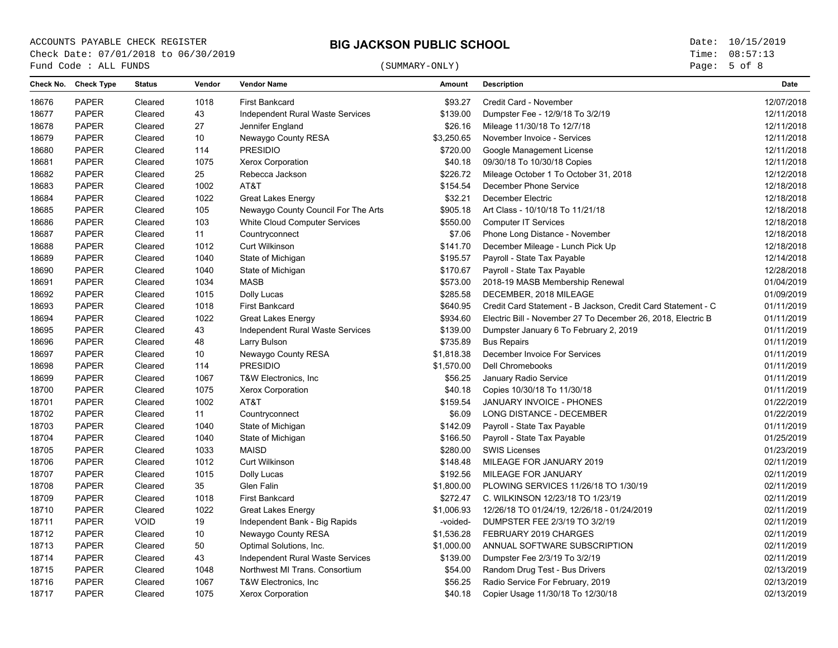# (SUMMARY-ONLY)

Page: 5 of 8

|       | Check No. Check Type | <b>Status</b> | Vendor | <b>Vendor Name</b>                  | <b>Amount</b> | <b>Description</b>                                           | <b>Date</b> |
|-------|----------------------|---------------|--------|-------------------------------------|---------------|--------------------------------------------------------------|-------------|
| 18676 | <b>PAPER</b>         | Cleared       | 1018   | <b>First Bankcard</b>               | \$93.27       | Credit Card - November                                       | 12/07/2018  |
| 18677 | <b>PAPER</b>         | Cleared       | 43     | Independent Rural Waste Services    | \$139.00      | Dumpster Fee - 12/9/18 To 3/2/19                             | 12/11/2018  |
| 18678 | <b>PAPER</b>         | Cleared       | 27     | Jennifer England                    | \$26.16       | Mileage 11/30/18 To 12/7/18                                  | 12/11/2018  |
| 18679 | <b>PAPER</b>         | Cleared       | 10     | Newaygo County RESA                 | \$3,250.65    | November Invoice - Services                                  | 12/11/2018  |
| 18680 | <b>PAPER</b>         | Cleared       | 114    | <b>PRESIDIO</b>                     | \$720.00      | Google Management License                                    | 12/11/2018  |
| 18681 | <b>PAPER</b>         | Cleared       | 1075   | <b>Xerox Corporation</b>            | \$40.18       | 09/30/18 To 10/30/18 Copies                                  | 12/11/2018  |
| 18682 | <b>PAPER</b>         | Cleared       | 25     | Rebecca Jackson                     | \$226.72      | Mileage October 1 To October 31, 2018                        | 12/12/2018  |
| 18683 | <b>PAPER</b>         | Cleared       | 1002   | AT&T                                | \$154.54      | December Phone Service                                       | 12/18/2018  |
| 18684 | <b>PAPER</b>         | Cleared       | 1022   | <b>Great Lakes Energy</b>           | \$32.21       | December Electric                                            | 12/18/2018  |
| 18685 | <b>PAPER</b>         | Cleared       | 105    | Newaygo County Council For The Arts | \$905.18      | Art Class - 10/10/18 To 11/21/18                             | 12/18/2018  |
| 18686 | <b>PAPER</b>         | Cleared       | 103    | White Cloud Computer Services       | \$550.00      | <b>Computer IT Services</b>                                  | 12/18/2018  |
| 18687 | <b>PAPER</b>         | Cleared       | 11     | Countryconnect                      | \$7.06        | Phone Long Distance - November                               | 12/18/2018  |
| 18688 | <b>PAPER</b>         | Cleared       | 1012   | Curt Wilkinson                      | \$141.70      | December Mileage - Lunch Pick Up                             | 12/18/2018  |
| 18689 | <b>PAPER</b>         | Cleared       | 1040   | State of Michigan                   | \$195.57      | Payroll - State Tax Payable                                  | 12/14/2018  |
| 18690 | <b>PAPER</b>         | Cleared       | 1040   | State of Michigan                   | \$170.67      | Payroll - State Tax Payable                                  | 12/28/2018  |
| 18691 | <b>PAPER</b>         | Cleared       | 1034   | <b>MASB</b>                         | \$573.00      | 2018-19 MASB Membership Renewal                              | 01/04/2019  |
| 18692 | <b>PAPER</b>         | Cleared       | 1015   | Dolly Lucas                         | \$285.58      | DECEMBER, 2018 MILEAGE                                       | 01/09/2019  |
| 18693 | <b>PAPER</b>         | Cleared       | 1018   | <b>First Bankcard</b>               | \$640.95      | Credit Card Statement - B Jackson, Credit Card Statement - C | 01/11/2019  |
| 18694 | <b>PAPER</b>         | Cleared       | 1022   | <b>Great Lakes Energy</b>           | \$934.60      | Electric Bill - November 27 To December 26, 2018, Electric B | 01/11/2019  |
| 18695 | <b>PAPER</b>         | Cleared       | 43     | Independent Rural Waste Services    | \$139.00      | Dumpster January 6 To February 2, 2019                       | 01/11/2019  |
| 18696 | <b>PAPER</b>         | Cleared       | 48     | Larry Bulson                        | \$735.89      | <b>Bus Repairs</b>                                           | 01/11/2019  |
| 18697 | <b>PAPER</b>         | Cleared       | 10     | Newaygo County RESA                 | \$1,818.38    | December Invoice For Services                                | 01/11/2019  |
| 18698 | <b>PAPER</b>         | Cleared       | 114    | <b>PRESIDIO</b>                     | \$1,570.00    | <b>Dell Chromebooks</b>                                      | 01/11/2019  |
| 18699 | <b>PAPER</b>         | Cleared       | 1067   | T&W Electronics, Inc                | \$56.25       | January Radio Service                                        | 01/11/2019  |
| 18700 | <b>PAPER</b>         | Cleared       | 1075   | <b>Xerox Corporation</b>            | \$40.18       | Copies 10/30/18 To 11/30/18                                  | 01/11/2019  |
| 18701 | <b>PAPER</b>         | Cleared       | 1002   | AT&T                                | \$159.54      | JANUARY INVOICE - PHONES                                     | 01/22/2019  |
| 18702 | <b>PAPER</b>         | Cleared       | 11     | Countryconnect                      | \$6.09        | LONG DISTANCE - DECEMBER                                     | 01/22/2019  |
| 18703 | <b>PAPER</b>         | Cleared       | 1040   | State of Michigan                   | \$142.09      | Payroll - State Tax Payable                                  | 01/11/2019  |
| 18704 | <b>PAPER</b>         | Cleared       | 1040   | State of Michigan                   | \$166.50      | Payroll - State Tax Payable                                  | 01/25/2019  |
| 18705 | <b>PAPER</b>         | Cleared       | 1033   | <b>MAISD</b>                        | \$280.00      | <b>SWIS Licenses</b>                                         | 01/23/2019  |
| 18706 | <b>PAPER</b>         | Cleared       | 1012   | Curt Wilkinson                      | \$148.48      | MILEAGE FOR JANUARY 2019                                     | 02/11/2019  |
| 18707 | <b>PAPER</b>         | Cleared       | 1015   | Dolly Lucas                         | \$192.56      | MILEAGE FOR JANUARY                                          | 02/11/2019  |
| 18708 | PAPER                | Cleared       | 35     | Glen Falin                          | \$1,800.00    | PLOWING SERVICES 11/26/18 TO 1/30/19                         | 02/11/2019  |
| 18709 | <b>PAPER</b>         | Cleared       | 1018   | <b>First Bankcard</b>               | \$272.47      | C. WILKINSON 12/23/18 TO 1/23/19                             | 02/11/2019  |
| 18710 | <b>PAPER</b>         | Cleared       | 1022   | <b>Great Lakes Energy</b>           | \$1,006.93    | 12/26/18 TO 01/24/19, 12/26/18 - 01/24/2019                  | 02/11/2019  |
| 18711 | <b>PAPER</b>         | <b>VOID</b>   | 19     | Independent Bank - Big Rapids       | -voided-      | DUMPSTER FEE 2/3/19 TO 3/2/19                                | 02/11/2019  |
| 18712 | <b>PAPER</b>         | Cleared       | 10     | Newaygo County RESA                 | \$1,536.28    | FEBRUARY 2019 CHARGES                                        | 02/11/2019  |
| 18713 | <b>PAPER</b>         | Cleared       | $50\,$ | Optimal Solutions, Inc.             | \$1,000.00    | ANNUAL SOFTWARE SUBSCRIPTION                                 | 02/11/2019  |
| 18714 | <b>PAPER</b>         | Cleared       | 43     | Independent Rural Waste Services    | \$139.00      | Dumpster Fee 2/3/19 To 3/2/19                                | 02/11/2019  |
| 18715 | <b>PAPER</b>         | Cleared       | 1048   | Northwest MI Trans. Consortium      | \$54.00       | Random Drug Test - Bus Drivers                               | 02/13/2019  |
| 18716 | <b>PAPER</b>         | Cleared       | 1067   | T&W Electronics, Inc.               | \$56.25       | Radio Service For February, 2019                             | 02/13/2019  |
| 18717 | <b>PAPER</b>         | Cleared       | 1075   | <b>Xerox Corporation</b>            | \$40.18       | Copier Usage 11/30/18 To 12/30/18                            | 02/13/2019  |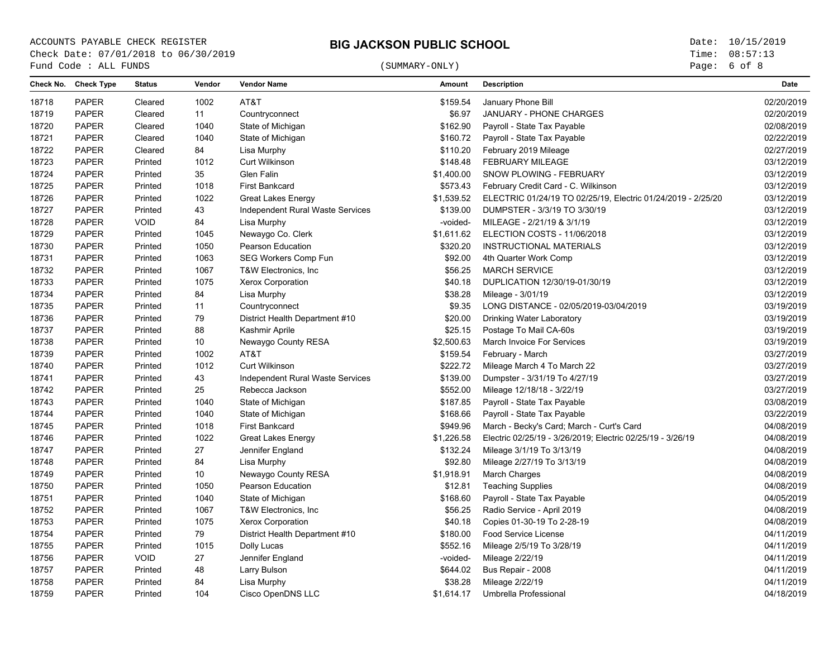# (SUMMARY-ONLY)

Page: 6 of 8

|       | Check No. Check Type | <b>Status</b> | Vendor | <b>Vendor Name</b>               | <b>Amount</b> | <b>Description</b>                                           | <b>Date</b> |
|-------|----------------------|---------------|--------|----------------------------------|---------------|--------------------------------------------------------------|-------------|
| 18718 | <b>PAPER</b>         | Cleared       | 1002   | AT&T                             | \$159.54      | January Phone Bill                                           | 02/20/2019  |
| 18719 | <b>PAPER</b>         | Cleared       | 11     | Countryconnect                   | \$6.97        | JANUARY - PHONE CHARGES                                      | 02/20/2019  |
| 18720 | <b>PAPER</b>         | Cleared       | 1040   | State of Michigan                | \$162.90      | Payroll - State Tax Payable                                  | 02/08/2019  |
| 18721 | <b>PAPER</b>         | Cleared       | 1040   | State of Michigan                | \$160.72      | Payroll - State Tax Payable                                  | 02/22/2019  |
| 18722 | <b>PAPER</b>         | Cleared       | 84     | Lisa Murphy                      | \$110.20      | February 2019 Mileage                                        | 02/27/2019  |
| 18723 | <b>PAPER</b>         | Printed       | 1012   | Curt Wilkinson                   | \$148.48      | <b>FEBRUARY MILEAGE</b>                                      | 03/12/2019  |
| 18724 | <b>PAPER</b>         | Printed       | 35     | Glen Falin                       | \$1,400.00    | SNOW PLOWING - FEBRUARY                                      | 03/12/2019  |
| 18725 | <b>PAPER</b>         | Printed       | 1018   | <b>First Bankcard</b>            | \$573.43      | February Credit Card - C. Wilkinson                          | 03/12/2019  |
| 18726 | <b>PAPER</b>         | Printed       | 1022   | Great Lakes Energy               | \$1,539.52    | ELECTRIC 01/24/19 TO 02/25/19, Electric 01/24/2019 - 2/25/20 | 03/12/2019  |
| 18727 | <b>PAPER</b>         | Printed       | 43     | Independent Rural Waste Services | \$139.00      | DUMPSTER - 3/3/19 TO 3/30/19                                 | 03/12/2019  |
| 18728 | <b>PAPER</b>         | <b>VOID</b>   | 84     | Lisa Murphy                      | -voided-      | MILEAGE - 2/21/19 & 3/1/19                                   | 03/12/2019  |
| 18729 | <b>PAPER</b>         | Printed       | 1045   | Newaygo Co. Clerk                | \$1,611.62    | ELECTION COSTS - 11/06/2018                                  | 03/12/2019  |
| 18730 | <b>PAPER</b>         | Printed       | 1050   | Pearson Education                | \$320.20      | INSTRUCTIONAL MATERIALS                                      | 03/12/2019  |
| 18731 | <b>PAPER</b>         | Printed       | 1063   | SEG Workers Comp Fun             | \$92.00       | 4th Quarter Work Comp                                        | 03/12/2019  |
| 18732 | <b>PAPER</b>         | Printed       | 1067   | T&W Electronics, Inc.            | \$56.25       | <b>MARCH SERVICE</b>                                         | 03/12/2019  |
| 18733 | <b>PAPER</b>         | Printed       | 1075   | <b>Xerox Corporation</b>         | \$40.18       | DUPLICATION 12/30/19-01/30/19                                | 03/12/2019  |
| 18734 | <b>PAPER</b>         | Printed       | 84     | Lisa Murphy                      | \$38.28       | Mileage - 3/01/19                                            | 03/12/2019  |
| 18735 | <b>PAPER</b>         | Printed       | 11     | Countryconnect                   | \$9.35        | LONG DISTANCE - 02/05/2019-03/04/2019                        | 03/19/2019  |
| 18736 | <b>PAPER</b>         | Printed       | 79     | District Health Department #10   | \$20.00       | Drinking Water Laboratory                                    | 03/19/2019  |
| 18737 | <b>PAPER</b>         | Printed       | 88     | Kashmir Aprile                   | \$25.15       | Postage To Mail CA-60s                                       | 03/19/2019  |
| 18738 | <b>PAPER</b>         | Printed       | 10     | Newaygo County RESA              | \$2,500.63    | March Invoice For Services                                   | 03/19/2019  |
| 18739 | <b>PAPER</b>         | Printed       | 1002   | AT&T                             | \$159.54      | February - March                                             | 03/27/2019  |
| 18740 | <b>PAPER</b>         | Printed       | 1012   | Curt Wilkinson                   | \$222.72      | Mileage March 4 To March 22                                  | 03/27/2019  |
| 18741 | <b>PAPER</b>         | Printed       | 43     | Independent Rural Waste Services | \$139.00      | Dumpster - 3/31/19 To 4/27/19                                | 03/27/2019  |
| 18742 | <b>PAPER</b>         | Printed       | 25     | Rebecca Jackson                  | \$552.00      | Mileage 12/18/18 - 3/22/19                                   | 03/27/2019  |
| 18743 | <b>PAPER</b>         | Printed       | 1040   | State of Michigan                | \$187.85      | Payroll - State Tax Payable                                  | 03/08/2019  |
| 18744 | <b>PAPER</b>         | Printed       | 1040   | State of Michigan                | \$168.66      | Payroll - State Tax Payable                                  | 03/22/2019  |
| 18745 | <b>PAPER</b>         | Printed       | 1018   | <b>First Bankcard</b>            | \$949.96      | March - Becky's Card; March - Curt's Card                    | 04/08/2019  |
| 18746 | <b>PAPER</b>         | Printed       | 1022   | <b>Great Lakes Energy</b>        | \$1,226.58    | Electric 02/25/19 - 3/26/2019; Electric 02/25/19 - 3/26/19   | 04/08/2019  |
| 18747 | <b>PAPER</b>         | Printed       | 27     | Jennifer England                 | \$132.24      | Mileage 3/1/19 To 3/13/19                                    | 04/08/2019  |
| 18748 | <b>PAPER</b>         | Printed       | 84     | Lisa Murphy                      | \$92.80       | Mileage 2/27/19 To 3/13/19                                   | 04/08/2019  |
| 18749 | <b>PAPER</b>         | Printed       | 10     | Newaygo County RESA              | \$1,918.91    | March Charges                                                | 04/08/2019  |
| 18750 | <b>PAPER</b>         | Printed       | 1050   | Pearson Education                | \$12.81       | <b>Teaching Supplies</b>                                     | 04/08/2019  |
| 18751 | <b>PAPER</b>         | Printed       | 1040   | State of Michigan                | \$168.60      | Payroll - State Tax Payable                                  | 04/05/2019  |
| 18752 | <b>PAPER</b>         | Printed       | 1067   | T&W Electronics, Inc.            | \$56.25       | Radio Service - April 2019                                   | 04/08/2019  |
| 18753 | <b>PAPER</b>         | Printed       | 1075   | Xerox Corporation                | \$40.18       | Copies 01-30-19 To 2-28-19                                   | 04/08/2019  |
| 18754 | <b>PAPER</b>         | Printed       | 79     | District Health Department #10   | \$180.00      | <b>Food Service License</b>                                  | 04/11/2019  |
| 18755 | <b>PAPER</b>         | Printed       | 1015   | Dolly Lucas                      | \$552.16      | Mileage 2/5/19 To 3/28/19                                    | 04/11/2019  |
| 18756 | <b>PAPER</b>         | <b>VOID</b>   | 27     | Jennifer England                 | -voided-      | Mileage 2/22/19                                              | 04/11/2019  |
| 18757 | <b>PAPER</b>         | Printed       | 48     | Larry Bulson                     | \$644.02      | Bus Repair - 2008                                            | 04/11/2019  |
| 18758 | <b>PAPER</b>         | Printed       | 84     | Lisa Murphy                      | \$38.28       | Mileage 2/22/19                                              | 04/11/2019  |
| 18759 | <b>PAPER</b>         | Printed       | 104    | Cisco OpenDNS LLC                | \$1,614.17    | Umbrella Professional                                        | 04/18/2019  |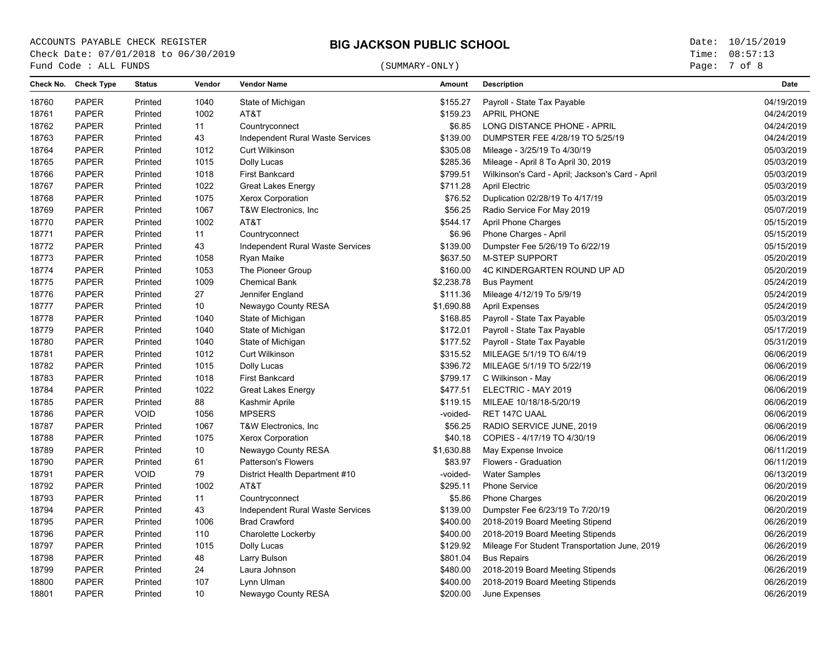# (SUMMARY-ONLY)

Page: 7 of 8

| Check No. | <b>Check Type</b> | <b>Status</b> | Vendor | <b>Vendor Name</b>               | <b>Amount</b> | <b>Description</b>                               | <b>Date</b> |
|-----------|-------------------|---------------|--------|----------------------------------|---------------|--------------------------------------------------|-------------|
| 18760     | <b>PAPER</b>      | Printed       | 1040   | State of Michigan                | \$155.27      | Payroll - State Tax Payable                      | 04/19/2019  |
| 18761     | <b>PAPER</b>      | Printed       | 1002   | AT&T                             | \$159.23      | <b>APRIL PHONE</b>                               | 04/24/2019  |
| 18762     | <b>PAPER</b>      | Printed       | 11     | Countryconnect                   | \$6.85        | LONG DISTANCE PHONE - APRIL                      | 04/24/2019  |
| 18763     | <b>PAPER</b>      | Printed       | 43     | Independent Rural Waste Services | \$139.00      | DUMPSTER FEE 4/28/19 TO 5/25/19                  | 04/24/2019  |
| 18764     | <b>PAPER</b>      | Printed       | 1012   | Curt Wilkinson                   | \$305.08      | Mileage - 3/25/19 To 4/30/19                     | 05/03/2019  |
| 18765     | <b>PAPER</b>      | Printed       | 1015   | Dolly Lucas                      | \$285.36      | Mileage - April 8 To April 30, 2019              | 05/03/2019  |
| 18766     | <b>PAPER</b>      | Printed       | 1018   | <b>First Bankcard</b>            | \$799.51      | Wilkinson's Card - April; Jackson's Card - April | 05/03/2019  |
| 18767     | <b>PAPER</b>      | Printed       | 1022   | <b>Great Lakes Energy</b>        | \$711.28      | <b>April Electric</b>                            | 05/03/2019  |
| 18768     | <b>PAPER</b>      | Printed       | 1075   | <b>Xerox Corporation</b>         | \$76.52       | Duplication 02/28/19 To 4/17/19                  | 05/03/2019  |
| 18769     | <b>PAPER</b>      | Printed       | 1067   | T&W Electronics, Inc             | \$56.25       | Radio Service For May 2019                       | 05/07/2019  |
| 18770     | <b>PAPER</b>      | Printed       | 1002   | AT&T                             | \$544.17      | April Phone Charges                              | 05/15/2019  |
| 18771     | <b>PAPER</b>      | Printed       | 11     | Countryconnect                   | \$6.96        | Phone Charges - April                            | 05/15/2019  |
| 18772     | <b>PAPER</b>      | Printed       | 43     | Independent Rural Waste Services | \$139.00      | Dumpster Fee 5/26/19 To 6/22/19                  | 05/15/2019  |
| 18773     | <b>PAPER</b>      | Printed       | 1058   | Ryan Maike                       | \$637.50      | <b>M-STEP SUPPORT</b>                            | 05/20/2019  |
| 18774     | <b>PAPER</b>      | Printed       | 1053   | The Pioneer Group                | \$160.00      | 4C KINDERGARTEN ROUND UP AD                      | 05/20/2019  |
| 18775     | <b>PAPER</b>      | Printed       | 1009   | <b>Chemical Bank</b>             | \$2,238.78    | <b>Bus Payment</b>                               | 05/24/2019  |
| 18776     | <b>PAPER</b>      | Printed       | 27     | Jennifer England                 | \$111.36      | Mileage 4/12/19 To 5/9/19                        | 05/24/2019  |
| 18777     | <b>PAPER</b>      | Printed       | 10     | Newaygo County RESA              | \$1,690.88    | <b>April Expenses</b>                            | 05/24/2019  |
| 18778     | <b>PAPER</b>      | Printed       | 1040   | State of Michigan                | \$168.85      | Payroll - State Tax Payable                      | 05/03/2019  |
| 18779     | <b>PAPER</b>      | Printed       | 1040   | State of Michigan                | \$172.01      | Payroll - State Tax Payable                      | 05/17/2019  |
| 18780     | <b>PAPER</b>      | Printed       | 1040   | State of Michigan                | \$177.52      | Payroll - State Tax Payable                      | 05/31/2019  |
| 18781     | <b>PAPER</b>      | Printed       | 1012   | Curt Wilkinson                   | \$315.52      | MILEAGE 5/1/19 TO 6/4/19                         | 06/06/2019  |
| 18782     | <b>PAPER</b>      | Printed       | 1015   | Dolly Lucas                      | \$396.72      | MILEAGE 5/1/19 TO 5/22/19                        | 06/06/2019  |
| 18783     | <b>PAPER</b>      | Printed       | 1018   | <b>First Bankcard</b>            | \$799.17      | C Wilkinson - May                                | 06/06/2019  |
| 18784     | <b>PAPER</b>      | Printed       | 1022   | <b>Great Lakes Energy</b>        | \$477.51      | ELECTRIC - MAY 2019                              | 06/06/2019  |
| 18785     | <b>PAPER</b>      | Printed       | 88     | Kashmir Aprile                   | \$119.15      | MILEAE 10/18/18-5/20/19                          | 06/06/2019  |
| 18786     | <b>PAPER</b>      | <b>VOID</b>   | 1056   | <b>MPSERS</b>                    | -voided-      | RET 147C UAAL                                    | 06/06/2019  |
| 18787     | <b>PAPER</b>      | Printed       | 1067   | T&W Electronics, Inc             | \$56.25       | RADIO SERVICE JUNE, 2019                         | 06/06/2019  |
| 18788     | <b>PAPER</b>      | Printed       | 1075   | <b>Xerox Corporation</b>         | \$40.18       | COPIES - 4/17/19 TO 4/30/19                      | 06/06/2019  |
| 18789     | <b>PAPER</b>      | Printed       | 10     | Newaygo County RESA              | \$1,630.88    | May Expense Invoice                              | 06/11/2019  |
| 18790     | <b>PAPER</b>      | Printed       | 61     | <b>Patterson's Flowers</b>       | \$83.97       | Flowers - Graduation                             | 06/11/2019  |
| 18791     | <b>PAPER</b>      | <b>VOID</b>   | 79     | District Health Department #10   | -voided-      | <b>Water Samples</b>                             | 06/13/2019  |
| 18792     | <b>PAPER</b>      | Printed       | 1002   | AT&T                             | \$295.11      | <b>Phone Service</b>                             | 06/20/2019  |
| 18793     | <b>PAPER</b>      | Printed       | 11     | Countryconnect                   | \$5.86        | <b>Phone Charges</b>                             | 06/20/2019  |
| 18794     | <b>PAPER</b>      | Printed       | 43     | Independent Rural Waste Services | \$139.00      | Dumpster Fee 6/23/19 To 7/20/19                  | 06/20/2019  |
| 18795     | <b>PAPER</b>      | Printed       | 1006   | <b>Brad Crawford</b>             | \$400.00      | 2018-2019 Board Meeting Stipend                  | 06/26/2019  |
| 18796     | <b>PAPER</b>      | Printed       | 110    | Charolette Lockerby              | \$400.00      | 2018-2019 Board Meeting Stipends                 | 06/26/2019  |
| 18797     | <b>PAPER</b>      | Printed       | 1015   | Dolly Lucas                      | \$129.92      | Mileage For Student Transportation June, 2019    | 06/26/2019  |
| 18798     | <b>PAPER</b>      | Printed       | 48     | Larry Bulson                     | \$801.04      | <b>Bus Repairs</b>                               | 06/26/2019  |
| 18799     | <b>PAPER</b>      | Printed       | 24     | Laura Johnson                    | \$480.00      | 2018-2019 Board Meeting Stipends                 | 06/26/2019  |
| 18800     | <b>PAPER</b>      | Printed       | 107    | Lynn Ulman                       | \$400.00      | 2018-2019 Board Meeting Stipends                 | 06/26/2019  |
| 18801     | <b>PAPER</b>      | Printed       | 10     | Newaygo County RESA              | \$200.00      | June Expenses                                    | 06/26/2019  |